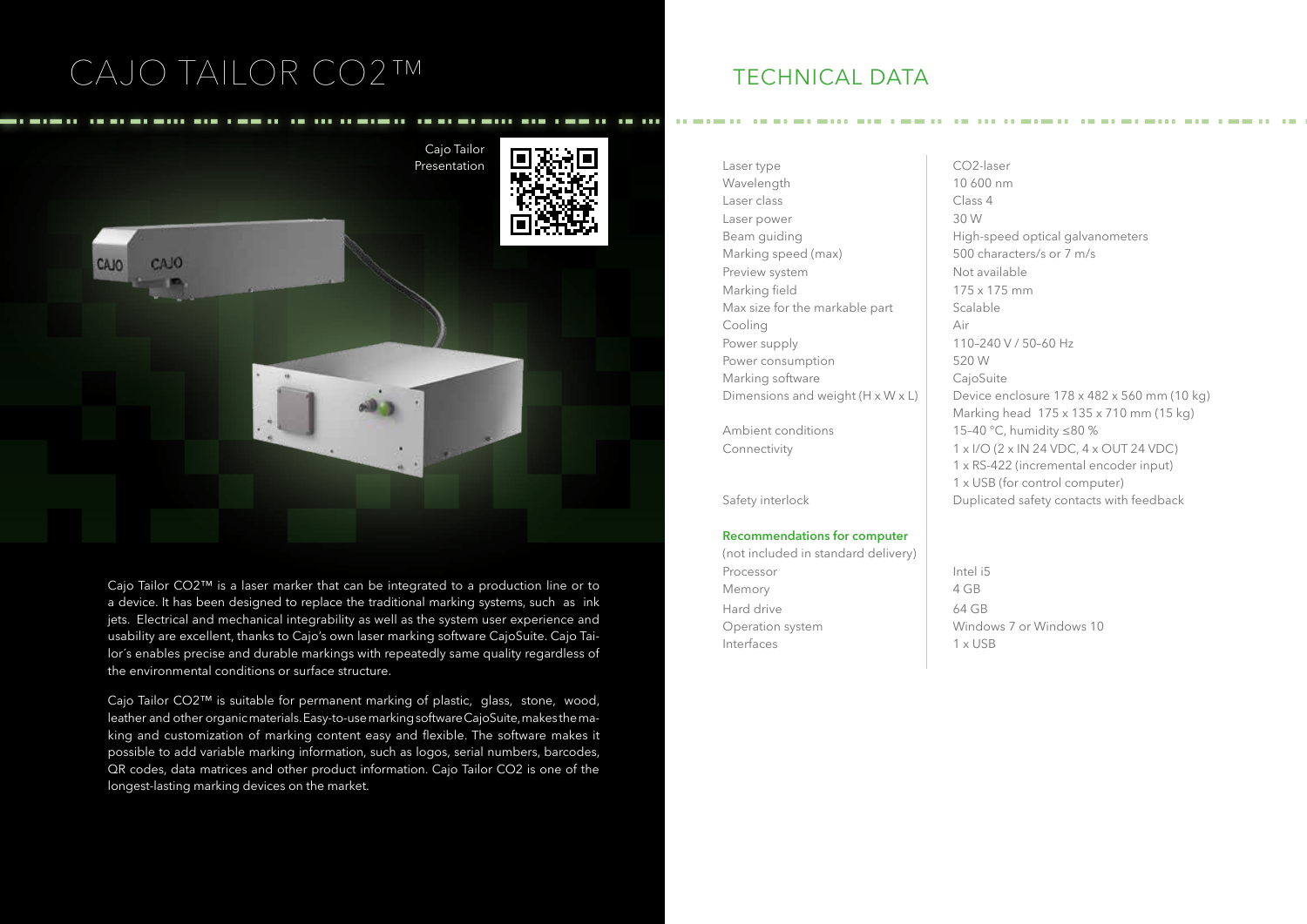# CAJO TAILOR CO2™ TECHNICAL DATA



Cajo Tailor CO2™ is a laser marker that can be integrated to a production line or to a device. It has been designed to replace the traditional marking systems, such as ink jets. Electrical and mechanical integrability as well as the system user experience and usability are excellent, thanks to Cajo's own laser marking software CajoSuite. Cajo Tailor´s enables precise and durable markings with repeatedly same quality regardless of the environmental conditions or surface structure.

Cajo Tailor CO2™ is suitable for permanent marking of plastic, glass, stone, wood, leather and other organic materials. Easy-to-use marking software CajoSuite, makes the making and customization of marking content easy and flexible. The software makes it possible to add variable marking information, such as logos, serial numbers, barcodes, QR codes, data matrices and other product information. Cajo Tailor CO2 is one of the longest-lasting marking devices on the market.

Wavelength 10 600 nm Laser class and the Class 4 Laser power 30 W Marking speed (max) 500 characters/s or 7 m/s Preview system Not available Marking field 175 x 175 mm Max size for the markable part  $\overline{\phantom{a}}$  Scalable Cooling Air Power supply 110–240 V / 50–60 Hz Power consumption 1990 S20 W Marking software **CajoSuite** 

## **Recommendations for computer**

(not included in standard delivery) Processor Intel i5 Memory 2 4 GB Hard drive 64 GB Operation system Windows 7 or Windows 10 Interfaces 2 1 x USB

Beam quiding **Example 20** High-speed optical galvanometers Dimensions and weight (H x W x L) Device enclosure  $178 \times 482 \times 560$  mm (10 kg) Marking head 175 x 135 x 710 mm (15 kg) Ambient conditions 15-40 °C, humidity ≤80 % Connectivity 1 x I/O (2 x IN 24 VDC, 4 x OUT 24 VDC) 1 x RS-422 (incremental encoder input) 1 x USB (for control computer) Safety interlock Duplicated safety contacts with feedback